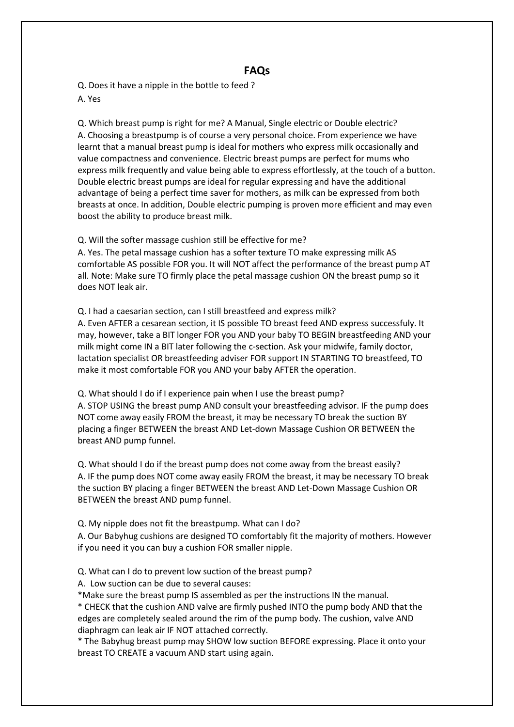## **FAQs**

Q. Does it have a nipple in the bottle to feed ? A. Yes

Q. Which breast pump is right for me? A Manual, Single electric or Double electric? A. Choosing a breastpump is of course a very personal choice. From experience we have learnt that a manual breast pump is ideal for mothers who express milk occasionally and value compactness and convenience. Electric breast pumps are perfect for mums who express milk frequently and value being able to express effortlessly, at the touch of a button. Double electric breast pumps are ideal for regular expressing and have the additional advantage of being a perfect time saver for mothers, as milk can be expressed from both breasts at once. In addition, Double electric pumping is proven more efficient and may even boost the ability to produce breast milk.

## Q. Will the softer massage cushion still be effective for me?

A. Yes. The petal massage cushion has a softer texture TO make expressing milk AS comfortable AS possible FOR you. It will NOT affect the performance of the breast pump AT all. Note: Make sure TO firmly place the petal massage cushion ON the breast pump so it does NOT leak air.

Q. I had a caesarian section, can I still breastfeed and express milk?

A. Even AFTER a cesarean section, it IS possible TO breast feed AND express successfuly. It may, however, take a BIT longer FOR you AND your baby TO BEGIN breastfeeding AND your milk might come IN a BIT later following the c-section. Ask your midwife, family doctor, lactation specialist OR breastfeeding adviser FOR support IN STARTING TO breastfeed, TO make it most comfortable FOR you AND your baby AFTER the operation.

Q. What should I do if I experience pain when I use the breast pump?

A. STOP USING the breast pump AND consult your breastfeeding advisor. IF the pump does NOT come away easily FROM the breast, it may be necessary TO break the suction BY placing a finger BETWEEN the breast AND Let-down Massage Cushion OR BETWEEN the breast AND pump funnel.

Q. What should I do if the breast pump does not come away from the breast easily? A. IF the pump does NOT come away easily FROM the breast, it may be necessary TO break the suction BY placing a finger BETWEEN the breast AND Let-Down Massage Cushion OR BETWEEN the breast AND pump funnel.

Q. My nipple does not fit the breastpump. What can I do?

A. Our Babyhug cushions are designed TO comfortably fit the majority of mothers. However if you need it you can buy a cushion FOR smaller nipple.

Q. What can I do to prevent low suction of the breast pump?

A. Low suction can be due to several causes:

\*Make sure the breast pump IS assembled as per the instructions IN the manual.

\* CHECK that the cushion AND valve are firmly pushed INTO the pump body AND that the edges are completely sealed around the rim of the pump body. The cushion, valve AND diaphragm can leak air IF NOT attached correctly.

\* The Babyhug breast pump may SHOW low suction BEFORE expressing. Place it onto your breast TO CREATE a vacuum AND start using again.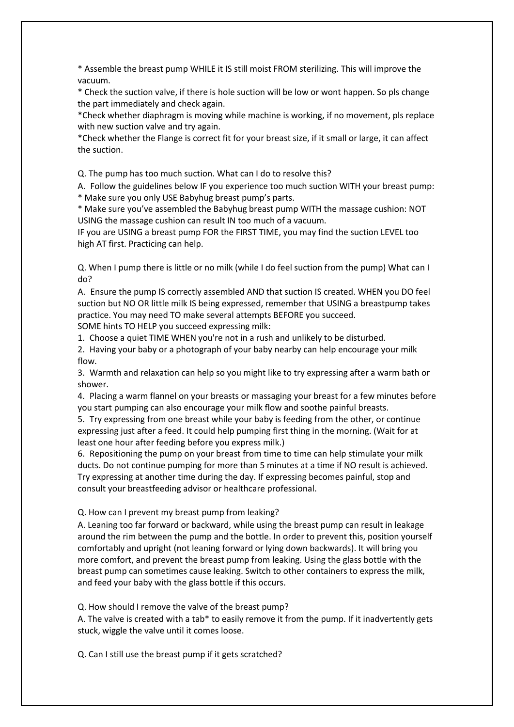\* Assemble the breast pump WHILE it IS still moist FROM sterilizing. This will improve the vacuum.

\* Check the suction valve, if there is hole suction will be low orwont happen. So pls change the part immediately and check again.<br>\*Check whether diaphragm is moving while machine is working, if no movement, pls replace

with new suction valve and try again.

\*Check whether the Flange is correct fit for your breast size, if it small or large, it can affect the suction.

Q. The pump has too much suction. What can I do to resolve this?

A. Follow the guidelines below IF you experience too much suction WITH your breast pump: \* Make sure you only USE Babyhug breast pump's parts.

\* Make sure you've assembled the Babyhug breast pump WITH the massage cushion: NOT USING the massage cushion can result IN too much of a vacuum.

IF you are USING a breast pump FOR the FIRST TIME, you may find the suction LEVEL too high AT first. Practicing can help.

Q. When I pump there is little or no milk (while I do feel suction from the pump) What can I do?

A. Ensure the pump IS correctly assembled AND that suction IS created. WHEN you DO feel suction but NO OR little milk IS being expressed, remember that USING a breastpump takes practice. You may need TO make several attempts BEFORE you succeed. SOME hints TO HELP you succeed expressing milk:

1. Choose a quiet TIME WHEN you're not in a rush and unlikely to be disturbed.

2. Having your baby or a photograph of your baby nearby can help encourage your milk flow.

3. Warmth and relaxation can help so you might like to try expressing after a warm bath or shower.

4. Placing a warm flannel on your breasts or massaging your breast for a few minutes before you start pumping can also encourage your milk flow and soothe painful breasts.

5. Try expressing from one breast while your baby is feeding from the other, or continue expressing just after a feed. It could help pumping first thing in the morning. (Wait for at least one hour after feeding before you express milk.)

6. Repositioning the pump on your breast from time to time can help stimulate your milk ducts. Do not continue pumping for more than 5 minutes at a time if NO result is achieved. Try expressing at another time during the day. If expressing becomes painful, stop and consult your breastfeeding advisor or healthcare professional.

Q. How can I prevent my breast pump from leaking?

A. Leaning too far forward or backward, while using the breast pump can result in leakage around the rim between the pump and the bottle. In order to prevent this, position yourself comfortably and upright (not leaning forward or lying down backwards). It will bring you more comfort, and prevent the breast pump from leaking. Using the glass bottle with the breast pump can sometimes cause leaking. Switch to other containers to express the milk, and feed your baby with the glass bottle if this occurs.

Q. How should I remove the valve of the breast pump?

A. The valve is created with a tab\* to easily remove it from the pump. If it inadvertently gets stuck, wiggle the valve until it comes loose.<br>Q. Can I still use the breast pump if it gets scratched?